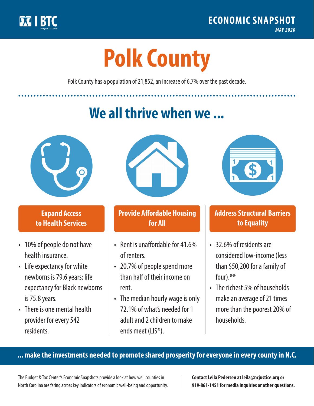

**1**

# **Polk County**

Polk County has a population of 21,852, an increase of 6.7% over the past decade.

# **We all thrive when we ...**



**\$ <sup>1</sup>**

**\$ <sup>1</sup>**

## **Expand Access to Health Services**

- 10% of people do not have health insurance.
- Life expectancy for white newborns is 79.6 years; life expectancy for Black newborns is 75.8years.
- There is one mental health provider for every 542 residents.



## **Provide Affordable Housing for All**

- Rent is unaffordable for 41.6% of renters.
- 20.7% of people spend more than half of their income on rent.
- The median hourly wage is only 72.1% of what's needed for 1 adult and 2 children to make ends meet (LIS\*).



## **Address Structural Barriers to Equality**

- 32.6% of residents are considered low-income (less than \$50,200 for a family of four).\*\*
- The richest 5% of households make an average of 21 times more than the poorest 20% of households.

#### **... make the investments needed to promote shared prosperity for everyone in every county in N.C.**

The Budget & Tax Center's Economic Snapshots provide a look at how well counties in North Carolina are faring across key indicators of economic well-being and opportunity.